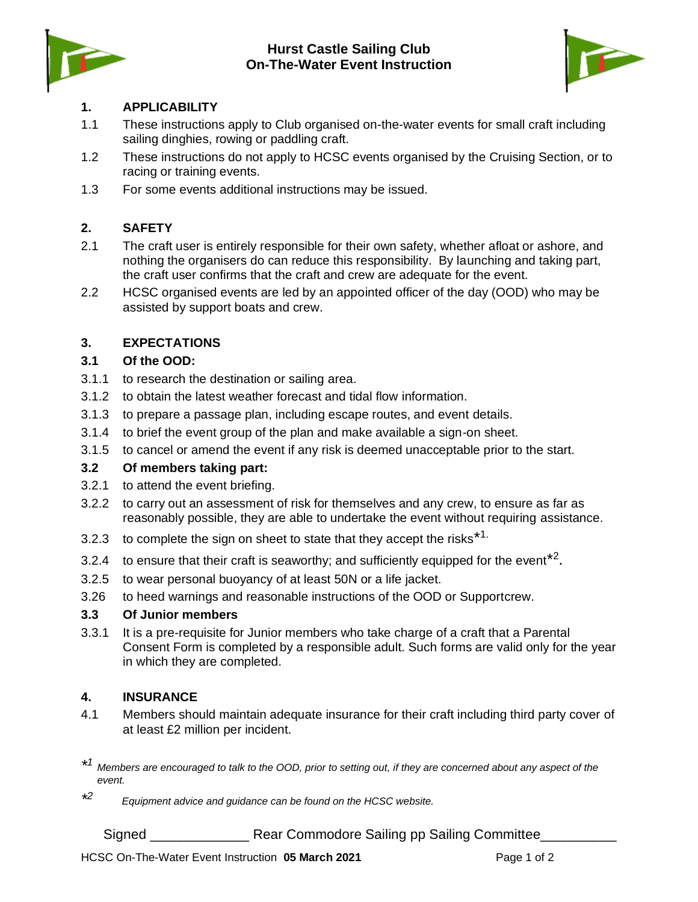

### **Hurst Castle Sailing Club On-The-Water Event Instruction**



### **1. APPLICABILITY**

- 1.1 These instructions apply to Club organised on-the-water events for small craft including sailing dinghies, rowing or paddling craft.
- 1.2 These instructions do not apply to HCSC events organised by the Cruising Section, or to racing or training events.
- 1.3 For some events additional instructions may be issued.

# **2. SAFETY**

- 2.1 The craft user is entirely responsible for their own safety, whether afloat or ashore, and nothing the organisers do can reduce this responsibility. By launching and taking part, the craft user confirms that the craft and crew are adequate for the event.
- 2.2 HCSC organised events are led by an appointed officer of the day (OOD) who may be assisted by support boats and crew.

# **3. EXPECTATIONS**

#### **3.1 Of the OOD:**

- 3.1.1 to research the destination or sailing area.
- 3.1.2 to obtain the latest weather forecast and tidal flow information.
- 3.1.3 to prepare a passage plan, including escape routes, and event details.
- 3.1.4 to brief the event group of the plan and make available a sign-on sheet.
- 3.1.5 to cancel or amend the event if any risk is deemed unacceptable prior to the start.

#### **3.2 Of members taking part:**

- 3.2.1 to attend the event briefing.
- 3.2.2 to carry out an assessment of risk for themselves and any crew, to ensure as far as reasonably possible, they are able to undertake the event without requiring assistance.
- 3.2.3 to complete the sign on sheet to state that they accept the risks<sup>\*1.</sup>
- 3.2.4 to ensure that their craft is seaworthy; and sufficiently equipped for the event<sup>\*2</sup>.
- 3.2.5 to wear personal buoyancy of at least 50N or a life jacket.
- 3.26 to heed warnings and reasonable instructions of the OOD or Supportcrew.

#### **3.3 Of Junior members**

3.3.1 It is a pre-requisite for Junior members who take charge of a craft that a Parental Consent Form is completed by a responsible adult. Such forms are valid only for the year in which they are completed.

#### **4. INSURANCE**

4.1 Members should maintain adequate insurance for their craft including third party cover of at least £2 million per incident.

*\* <sup>2</sup> Equipment advice and guidance can be found on the HCSC website.*

Signed \_\_\_\_\_\_\_\_\_\_\_\_\_\_\_\_\_\_ Rear Commodore Sailing pp Sailing Committee\_\_\_\_\_\_\_\_\_\_\_

*<sup>\*</sup> 1 Members are encouraged to talk to the OOD, prior to setting out, if they are concerned about any aspect of the event.*